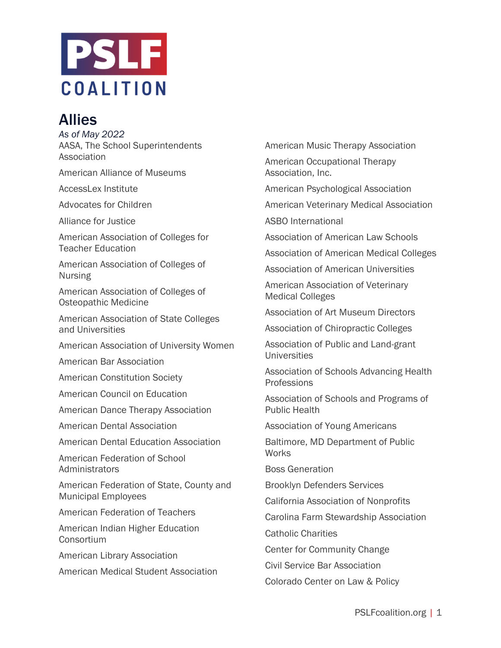

## Allies

*As of May 2022* AASA, The School Superintendents Association

American Alliance of Museums

AccessLex Institute

Advocates for Children

Alliance for Justice

American Association of Colleges for Teacher Education

American Association of Colleges of Nursing

American Association of Colleges of Osteopathic Medicine

American Association of State Colleges and Universities

American Association of University Women

American Bar Association

American Constitution Society

American Council on Education

American Dance Therapy Association

American Dental Association

American Dental Education Association

American Federation of School **Administrators** 

American Federation of State, County and Municipal Employees

American Federation of Teachers

American Indian Higher Education Consortium

American Library Association

American Medical Student Association

American Music Therapy Association

American Occupational Therapy Association, Inc.

American Psychological Association

American Veterinary Medical Association

ASBO International

Association of American Law Schools

Association of American Medical Colleges

Association of American Universities

American Association of Veterinary Medical Colleges

Association of Art Museum Directors

Association of Chiropractic Colleges

Association of Public and Land-grant Universities

Association of Schools Advancing Health Professions

Association of Schools and Programs of Public Health

Association of Young Americans

Baltimore, MD Department of Public Works

Boss Generation

Brooklyn Defenders Services

California Association of Nonprofits

Carolina Farm Stewardship Association

Catholic Charities

Center for Community Change

Civil Service Bar Association

Colorado Center on Law & Policy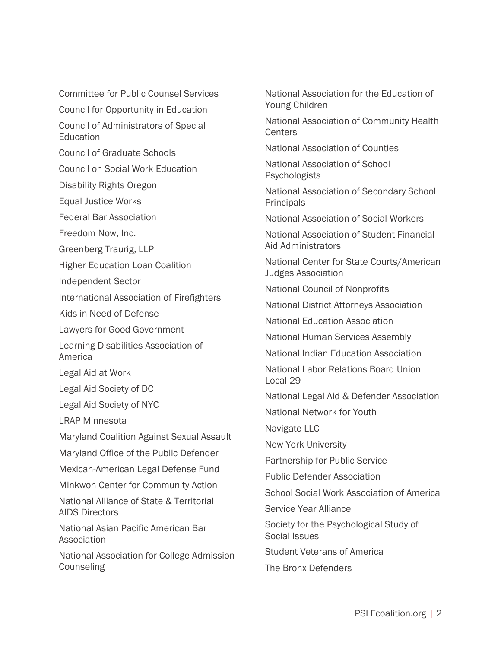Committee for Public Counsel Services

Council for Opportunity in Education

Council of Administrators of Special **Education** 

Council of Graduate Schools

Council on Social Work Education

Disability Rights Oregon

Equal Justice Works

Federal Bar Association

Freedom Now, Inc.

Greenberg Traurig, LLP

Higher Education Loan Coalition

Independent Sector

International Association of Firefighters

Kids in Need of Defense

Lawyers for Good Government

Learning Disabilities Association of America

Legal Aid at Work

Legal Aid Society of DC

Legal Aid Society of NYC

LRAP Minnesota

Maryland Coalition Against Sexual Assault

Maryland Office of the Public Defender

Mexican-American Legal Defense Fund

Minkwon Center for Community Action

National Alliance of State & Territorial AIDS Directors

National Asian Pacific American Bar Association

National Association for College Admission **Counseling** 

National Association for the Education of Young Children

National Association of Community Health **Centers** 

National Association of Counties

National Association of School Psychologists

National Association of Secondary School **Principals** 

National Association of Social Workers

National Association of Student Financial Aid Administrators

National Center for State Courts/American Judges Association

National Council of Nonprofits

National District Attorneys Association

National Education Association

National Human Services Assembly

National Indian Education Association

National Labor Relations Board Union Local 29

National Legal Aid & Defender Association

National Network for Youth

Navigate LLC

New York University

Partnership for Public Service

Public Defender Association

School Social Work Association of America

Service Year Alliance

Society for the Psychological Study of Social Issues

Student Veterans of America

The Bronx Defenders